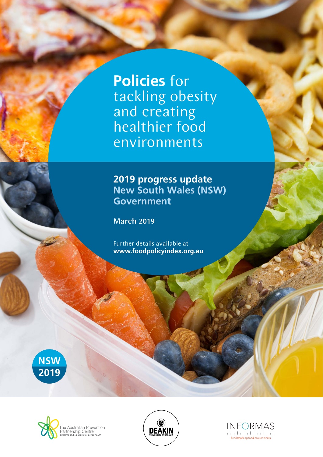**Policies** for tackling obesity and creating healthier food environments

## **2019 progress update New South Wales (NSW) Government**

March 2019

Further details available at **www.foodpolicyindex.org.au**







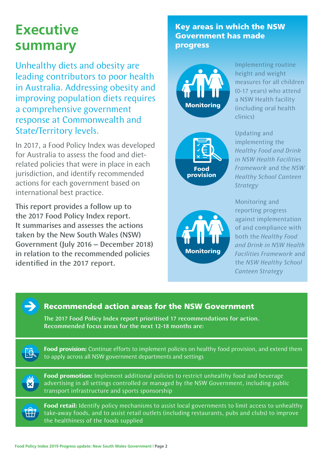# **Executive summary**

Unhealthy diets and obesity are leading contributors to poor health in Australia. Addressing obesity and improving population diets requires a comprehensive government response at Commonwealth and State/Territory levels.

In 2017, a Food Policy Index was developed for Australia to assess the food and dietrelated policies that were in place in each jurisdiction, and identify recommended actions for each government based on international best practice.

This report provides a follow up to the 2017 Food Policy Index report. It summarises and assesses the actions taken by the New South Wales (NSW) Government (July 2016 – December 2018) in relation to the recommended policies identified in the 2017 report.

### Key areas in which the NSW Government has made progress



Implementing routine height and weight measures for all children (0-17 years) who attend a NSW Health facility (including oral health clinics)





Updating and implementing the *Healthy Food and Drink in NSW Health Facilities Framework* and the *NSW Healthy School Canteen Strategy*

Monitoring and reporting progress against implementation of and compliance with both the *Healthy Food and Drink in NSW Health Facilities Framework* and the *NSW Healthy School Canteen Strategy*



#### Recommended action areas for the NSW Government

The 2017 Food Policy Index report prioritised 17 recommendations for action. Recommended focus areas for the next 12-18 months are:



**Food provision:** Continue efforts to implement policies on healthy food provision, and extend them to apply across all NSW government departments and settings

**Food promotion:** Implement additional policies to restrict unhealthy food and beverage advertising in all settings controlled or managed by the NSW Government, including public transport infrastructure and sports sponsorship



**Food retail:** Identify policy mechanisms to assist local governments to limit access to unhealthy take-away foods, and to assist retail outlets (including restaurants, pubs and clubs) to improve the healthiness of the foods supplied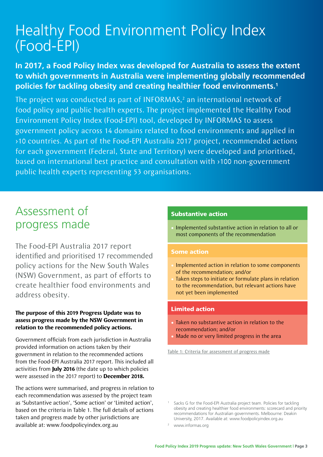# Healthy Food Environment Policy Index (Food-EPI)

### **In 2017, a Food Policy Index was developed for Australia to assess the extent to which governments in Australia were implementing globally recommended policies for tackling obesity and creating healthier food environments.1**

The project was conducted as part of INFORMAS, $<sup>2</sup>$  an international network of</sup> food policy and public health experts. The project implemented the Healthy Food Environment Policy Index (Food-EPI) tool, developed by INFORMAS to assess government policy across 14 domains related to food environments and applied in >10 countries. As part of the Food-EPI Australia 2017 project, recommended actions for each government (Federal, State and Territory) were developed and prioritised, based on international best practice and consultation with >100 non-government public health experts representing 53 organisations.

# Assessment of progress made

The Food-EPI Australia 2017 report identified and prioritised 17 recommended policy actions for the New South Wales (NSW) Government, as part of efforts to create healthier food environments and address obesity.

#### **The purpose of this 2019 Progress Update was to assess progress made by the NSW Government in relation to the recommended policy actions.**

Government officials from each jurisdiction in Australia provided information on actions taken by their government in relation to the recommended actions from the Food-EPI Australia 2017 report. This included all activities from **July 2016** (the date up to which policies were assessed in the 2017 report) to **December 2018.**

The actions were summarised, and progress in relation to each recommendation was assessed by the project team as 'Substantive action', 'Some action' or 'Limited action', based on the criteria in Table 1. The full details of actions taken and progress made by other jurisdictions are available at: www.foodpolicyindex.org.au

#### Substantive action

• Implemented substantive action in relation to all or most components of the recommendation

#### Some action

- Implemented action in relation to some components of the recommendation; and/or
- Taken steps to initiate or formulate plans in relation to the recommendation, but relevant actions have not yet been implemented

#### Limited action

- Taken no substantive action in relation to the recommendation; and/or
- Made no or very limited progress in the area

Table 1: Criteria for assessment of progress made

Sacks G for the Food-EPI Australia project team. Policies for tackling obesity and creating healthier food environments: scorecard and priority recommendations for Australian governments. Melbourne: Deakin University, 2017. Available at: www.foodpolicyindex.org.au

<sup>2</sup> www.informas.org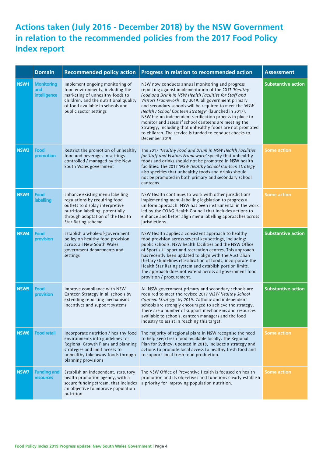## **Actions taken (July 2016 - December 2018) by the NSW Government in relation to the recommended policies from the 2017 Food Policy Index report**

|                  | <b>Domain</b>                            | <b>Recommended policy action</b>                                                                                                                                                                              | Progress in relation to recommended action                                                                                                                                                                                                                                                                                                                                                                                                                                                                                                                                                                 | <b>Assessment</b>         |
|------------------|------------------------------------------|---------------------------------------------------------------------------------------------------------------------------------------------------------------------------------------------------------------|------------------------------------------------------------------------------------------------------------------------------------------------------------------------------------------------------------------------------------------------------------------------------------------------------------------------------------------------------------------------------------------------------------------------------------------------------------------------------------------------------------------------------------------------------------------------------------------------------------|---------------------------|
| NSW1             | <b>Monitoring</b><br>and<br>intelligence | Implement ongoing monitoring of<br>food environments, including the<br>marketing of unhealthy foods to<br>children, and the nutritional quality<br>of food available in schools and<br>public sector settings | NSW now conducts annual monitoring and progress<br>reporting against implementation of the 2017 'Healthy<br>Food and Drink in NSW Health Facilities for Staff and<br>Visitors Framework'. By 2019, all government primary<br>and secondary schools will be required to meet the 'NSW<br>Healthy School Canteen Strategy' (launched in 2017).<br>NSW has an independent verification process in place to<br>monitor and assess if school canteens are meeting the<br>Strategy, including that unhealthy foods are not promoted<br>to children. The service is funded to conduct checks to<br>December 2019. | <b>Substantive action</b> |
| NSW <sub>2</sub> | Food<br>promotion                        | Restrict the promotion of unhealthy<br>food and beverages in settings<br>controlled / managed by the New<br>South Wales government                                                                            | The 2017 'Healthy Food and Drink in NSW Health Facilities<br>for Staff and Visitors Framework' specify that unhealthy<br>foods and drinks should not be promoted in NSW health<br>facilities. The 2017 'NSW Healthy School Canteen Strategy'<br>also specifies that unhealthy foods and drinks should<br>not be promoted in both primary and secondary school<br>canteens.                                                                                                                                                                                                                                 | <b>Some action</b>        |
| NSW3             | Food<br><b>labelling</b>                 | Enhance existing menu labelling<br>regulations by requiring food<br>outlets to display interpretive<br>nutrition labelling, potentially<br>through adaptation of the Health<br>Star Rating scheme             | NSW Health continues to work with other jurisdictions<br>implementing menu-labelling legislation to progress a<br>uniform approach. NSW has been instrumental in the work<br>led by the COAG Health Council that includes actions to<br>enhance and better align menu labelling approaches across<br>jurisdictions.                                                                                                                                                                                                                                                                                        | <b>Some action</b>        |
| NSW4             | Food<br>provision                        | Establish a whole-of-government<br>policy on healthy food provision<br>across all New South Wales<br>government departments and<br>settings                                                                   | NSW Health applies a consistent approach to healthy<br>food provision across several key settings, including:<br>public schools, NSW health facilities and the NSW Office<br>of Sport's 11 sport and recreation centres. This approach<br>has recently been updated to align with the Australian<br>Dietary Guidelines classification of foods, incorporate the<br>Health Star Rating system and establish portion limits.<br>The approach does not extend across all government food<br>provision / procurement.                                                                                          | <b>Substantive action</b> |
| NSW <sub>5</sub> | Food<br>provision                        | Improve compliance with NSW<br>Canteen Strategy in all schools by<br>extending reporting mechanisms,<br>incentives and support systems                                                                        | All NSW government primary and secondary schools are<br>required to meet the revised 2017 'NSW Healthy School<br>Canteen Strategy' by 2019. Catholic and independent<br>schools are strongly encouraged to achieve the strategy.<br>There are a number of support mechanisms and resources<br>available to schools, canteen managers and the food<br>industry to assist in reaching this target.                                                                                                                                                                                                           | <b>Substantive action</b> |
| NSW <sub>6</sub> | <b>Food retail</b>                       | Incorporate nutrition / healthy food<br>environments into guidelines for<br>Regional Growth Plans and planning<br>strategies and limit access to<br>unhealthy take-away foods through<br>planning provisions  | The majority of regional plans in NSW recognise the need<br>to help keep fresh food available locally. The Regional<br>Plan for Sydney, updated in 2018, includes a strategy and<br>actions to promote local access to healthy fresh food and<br>to support local fresh food production.                                                                                                                                                                                                                                                                                                                   | <b>Some action</b>        |
| NSW7             | <b>Funding and</b><br><b>resources</b>   | Establish an independent, statutory<br>health promotion agency, with a<br>secure funding stream, that includes<br>an objective to improve population<br>nutrition                                             | The NSW Office of Preventive Health is focused on health<br>promotion and its objectives and functions clearly establish<br>a priority for improving population nutrition.                                                                                                                                                                                                                                                                                                                                                                                                                                 | <b>Some action</b>        |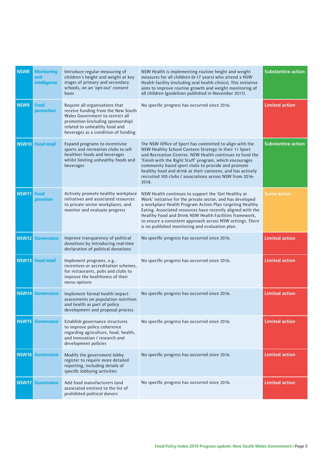| NSW8         | <b>Monitoring</b><br>and<br>intelligence | Introduce regular measuring of<br>children's height and weight at key<br>stages of primary and secondary<br>schools, on an 'opt-out' consent<br>basis                                                                 | NSW Health is implementing routine height and weight<br>measures for all children (0-17 years) who attend a NSW<br>Health facility (including oral health clinics). This initiative<br>aims to improve routine growth and weight monitoring of<br>all children (guidelines published in November 2017).                                                                                                                          | <b>Substantive action</b> |
|--------------|------------------------------------------|-----------------------------------------------------------------------------------------------------------------------------------------------------------------------------------------------------------------------|----------------------------------------------------------------------------------------------------------------------------------------------------------------------------------------------------------------------------------------------------------------------------------------------------------------------------------------------------------------------------------------------------------------------------------|---------------------------|
| NSW9         | Food<br>promotion                        | Require all organisations that<br>receive funding from the New South<br>Wales Government to restrict all<br>promotion (including sponsorship)<br>related to unhealthy food and<br>beverages as a condition of funding | No specific progress has occurred since 2016.                                                                                                                                                                                                                                                                                                                                                                                    | <b>Limited action</b>     |
| <b>NSW10</b> | <b>Food retail</b>                       | Expand programs to incentivise<br>sports and recreation clubs to sell<br>healthier foods and beverages<br>whilst limiting unhealthy foods and<br>beverages                                                            | The NSW Office of Sport has committed to align with the<br>NSW Healthy School Canteen Strategy in their 11 Sport<br>and Recreation Centres. NSW Health continues to fund the<br>'Finish with the Right Stuff' program, which encourages<br>community based sport clubs to provide and promote<br>healthy food and drink at their canteens, and has actively<br>recruited 300 clubs / associations across NSW from 2016-<br>2018. | <b>Substantive action</b> |
| <b>NSW11</b> | Food<br>provision                        | Actively promote healthy workplace<br>initiatives and associated resources<br>to private sector workplaces, and<br>monitor and evaluate progress                                                                      | NSW Health continues to support the 'Get Healthy at<br>Work' initiative for the private sector, and has developed<br>a workplace Health Program Action Plan targeting Healthy<br>Eating. Associated resources have recently aligned with the<br>Healthy Food and Drink NSW Health Facilities framework,<br>to ensure a consistent approach across NSW settings. There<br>is no published monitoring and evaluation plan.         | <b>Some action</b>        |
| <b>NSW12</b> | <b>Governance</b>                        | Improve transparency of political<br>donations by introducing real-time<br>declaration of political donations                                                                                                         | No specific progress has occurred since 2016.                                                                                                                                                                                                                                                                                                                                                                                    | <b>Limited action</b>     |
| <b>NSW13</b> | <b>Food retail</b>                       | Implement programs, e.g.,<br>incentives or accreditation schemes,<br>for restaurants, pubs and clubs to<br>improve the healthiness of their<br>menu options                                                           | No specific progress has occurred since 2016.                                                                                                                                                                                                                                                                                                                                                                                    | <b>Limited action</b>     |
| <b>NSW14</b> | <b>Governance</b>                        | Implement formal health impact<br>assessments on population nutrition<br>and health as part of policy<br>development and proposal process                                                                             | No specific progress has occurred since 2016.                                                                                                                                                                                                                                                                                                                                                                                    | <b>Limited action</b>     |
|              | <b>NSW15</b> Governance                  | Establish governance structures<br>to improve policy coherence<br>regarding agriculture, food, health,<br>and innovation / research and<br>development policies                                                       | No specific progress has occurred since 2016.                                                                                                                                                                                                                                                                                                                                                                                    | <b>Limited action</b>     |
| <b>NSW16</b> | <b>Governance</b>                        | Modify the government lobby<br>register to require more detailed<br>reporting, including details of<br>specific lobbying activities                                                                                   | No specific progress has occurred since 2016.                                                                                                                                                                                                                                                                                                                                                                                    | <b>Limited action</b>     |
| <b>NSW17</b> | <b>Governance</b>                        | Add food manufacturers (and<br>associated entities) to the list of<br>prohibited political donors                                                                                                                     | No specific progress has occurred since 2016.                                                                                                                                                                                                                                                                                                                                                                                    | <b>Limited action</b>     |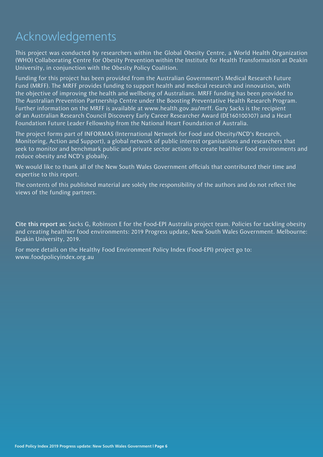# Acknowledgements

This project was conducted by researchers within the Global Obesity Centre, a World Health Organization (WHO) Collaborating Centre for Obesity Prevention within the Institute for Health Transformation at Deakin University, in conjunction with the Obesity Policy Coalition.

Funding for this project has been provided from the Australian Government's Medical Research Future Fund (MRFF). The MRFF provides funding to support health and medical research and innovation, with the objective of improving the health and wellbeing of Australians. MRFF funding has been provided to The Australian Prevention Partnership Centre under the Boosting Preventative Health Research Program. Further information on the MRFF is available at www.health.gov.au/mrff. Gary Sacks is the recipient of an Australian Research Council Discovery Early Career Researcher Award (DE160100307) and a Heart Foundation Future Leader Fellowship from the National Heart Foundation of Australia.

The project forms part of INFORMAS (International Network for Food and Obesity/NCD's Research, Monitoring, Action and Support), a global network of public interest organisations and researchers that seek to monitor and benchmark public and private sector actions to create healthier food environments and reduce obesity and NCD's globally.

We would like to thank all of the New South Wales Government officials that contributed their time and expertise to this report.

The contents of this published material are solely the responsibility of the authors and do not reflect the views of the funding partners.

Cite this report as: Sacks G, Robinson E for the Food-EPI Australia project team. Policies for tackling obesity and creating healthier food environments: 2019 Progress update, New South Wales Government. Melbourne: Deakin University, 2019.

For more details on the Healthy Food Environment Policy Index (Food-EPI) project go to: www.foodpolicyindex.org.au